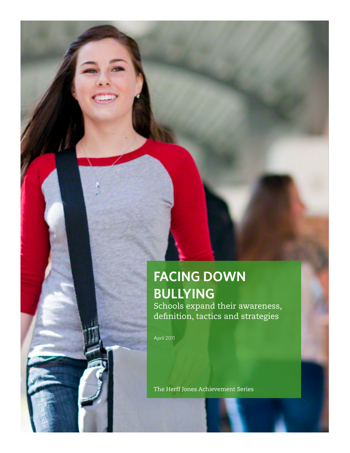# **FACING DOWN BULLYING**

Schools expand their awareness, definition, tactics and strategies

April 2011

The Herff Jones Achievement Series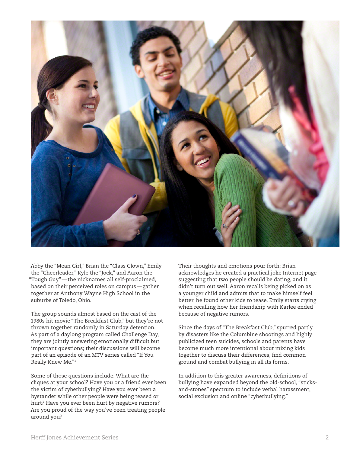

Abby the "Mean Girl," Brian the "Class Clown," Emily the "Cheerleader," Kyle the "Jock," and Aaron the "Tough Guy"—the nicknames all self-proclaimed, based on their perceived roles on campus—gather together at Anthony Wayne High School in the suburbs of Toledo, Ohio.

The group sounds almost based on the cast of the 1980s hit movie "The Breakfast Club," but they're not thrown together randomly in Saturday detention. As part of a daylong program called Challenge Day, they are jointly answering emotionally difficult but important questions; their discussions will become part of an episode of an MTV series called "If You Really Knew Me."1

Some of those questions include: What are the cliques at your school? Have you or a friend ever been the victim of cyberbullying? Have you ever been a bystander while other people were being teased or hurt? Have you ever been hurt by negative rumors? Are you proud of the way you've been treating people around you?

Their thoughts and emotions pour forth: Brian acknowledges he created a practical joke Internet page suggesting that two people should be dating, and it didn't turn out well. Aaron recalls being picked on as a younger child and admits that to make himself feel better, he found other kids to tease. Emily starts crying when recalling how her friendship with Karlee ended because of negative rumors.

Since the days of "The Breakfast Club," spurred partly by disasters like the Columbine shootings and highly publicized teen suicides, schools and parents have become much more intentional about mixing kids together to discuss their differences, find common ground and combat bullying in all its forms.

In addition to this greater awareness, definitions of bullying have expanded beyond the old-school, "sticksand-stones" spectrum to include verbal harassment, social exclusion and online "cyberbullying."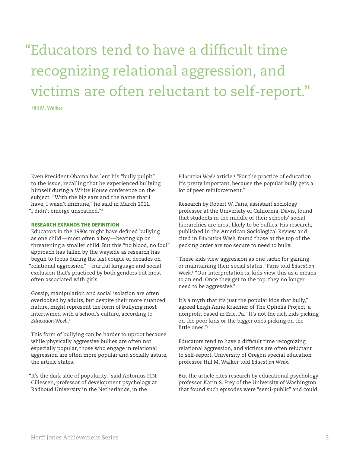"Educators tend to have a difficult time recognizing relational aggression, and victims are often reluctant to self-report."

**Hill M. Walker**

Even President Obama has lent his "bully pulpit" to the issue, recalling that he experienced bullying himself during a White House conference on the subject. "With the big ears and the name that I have, I wasn't immune," he said in March 2011. "I didn't emerge unscathed."2

# **RESEARCH EXPANDS THE DEFINITION**

Educators in the 1980s might have defined bullying as one child—most often a boy—beating up or threatening a smaller child. But this "no blood, no foul" approach has fallen by the wayside as research has begun to focus during the last couple of decades on "relational aggression"—hurtful language and social exclusion that's practiced by both genders but most often associated with girls.

Gossip, manipulation and social isolation are often overlooked by adults, but despite their more nuanced nature, might represent the form of bullying most intertwined with a school's culture, according to *Education Week*. 3

This form of bullying can be harder to uproot because while physically aggressive bullies are often not especially popular, those who engage in relational aggression are often more popular and socially astute, the article states.

"It's the dark side of popularity," said Antonius H.N. Cillessen, professor of development psychology at Radboud University in the Netherlands, in the

*Education Week* article.<sup>4</sup> "For the practice of education it's pretty important, because the popular bully gets a lot of peer reinforcement."

Research by Robert W. Faris, assistant sociology professor at the University of California, Davis, found that students in the middle of their schools' social hierarchies are most likely to be bullies. His research, published in the American Sociological Review and cited in *Education Week*, found those at the top of the pecking order are too secure to need to bully.

"These kids view aggression as one tactic for gaining or maintaining their social status," Faris told *Education Week*. 5 "Our interpretation is, kids view this as a means to an end. Once they get to the top, they no longer need to be aggressive."

"It's a myth that it's just the popular kids that bully," agreed Leigh Anne Kraemer of The Ophelia Project, a nonprofit based in Erie, Pa. "It's not the rich kids picking on the poor kids or the bigger ones picking on the little ones."<sup>6</sup>

Educators tend to have a difficult time recognizing relational aggression, and victims are often reluctant to self-report, University of Oregon special education professor Hill M. Walker told *Education Week*.

But the article cites research by educational psychology professor Karin S. Frey of the University of Washington that found such episodes were "semi-public" and could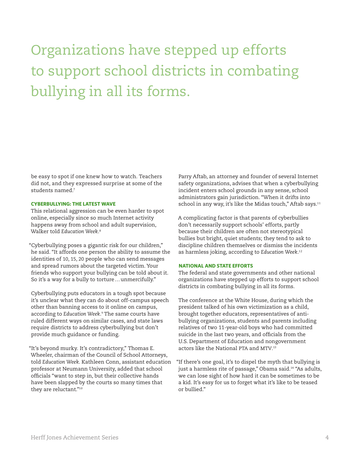# Organizations have stepped up efforts to support school districts in combating bullying in all its forms.

be easy to spot if one knew how to watch. Teachers did not, and they expressed surprise at some of the students named.<sup>7</sup>

### **CYBERBULLYING: THE LATEST WAVE**

This relational aggression can be even harder to spot online, especially since so much Internet activity happens away from school and adult supervision, Walker told *Education Week*. 8

"Cyberbullying poses a gigantic risk for our children," he said. "It affords one person the ability to assume the identities of 10, 15, 20 people who can send messages and spread rumors about the targeted victim. Your friends who support your bullying can be told about it. So it's a way for a bully to torture…unmercifully."

Cyberbullying puts educators in a tough spot because it's unclear what they can do about off-campus speech other than banning access to it online on campus, according to *Education Week*. 9 The same courts have ruled different ways on similar cases, and state laws require districts to address cyberbullying but don't provide much guidance or funding.

"It's beyond murky. It's contradictory," Thomas E. Wheeler, chairman of the Council of School Attorneys, told *Education Week*. Kathleen Conn, assistant education professor at Neumann University, added that school officials "want to step in, but their collective hands have been slapped by the courts so many times that they are reluctant."<sup>10</sup>

Parry Aftab, an attorney and founder of several Internet safety organizations, advises that when a cyberbullying incident enters school grounds in any sense, school administrators gain jurisdiction. "When it drifts into school in any way, it's like the Midas touch," Aftab says.<sup>11</sup>

A complicating factor is that parents of cyberbullies don't necessarily support schools' efforts, partly because their children are often not stereotypical bullies but bright, quiet students; they tend to ask to discipline children themselves or dismiss the incidents as harmless joking, according to *Education Week*. 12

#### **NATIONAL AND STATE EFFORTS**

The federal and state governments and other national organizations have stepped up efforts to support school districts in combating bullying in all its forms.

The conference at the White House, during which the president talked of his own victimization as a child, brought together educators, representatives of antibullying organizations, students and parents including relatives of two 11-year-old boys who had committed suicide in the last two years, and officials from the U.S. Department of Education and nongovernment actors like the National PTA and MTV. 13

"If there's one goal, it's to dispel the myth that bullying is just a harmless rite of passage," Obama said.<sup>14</sup> "As adults, we can lose sight of how hard it can be sometimes to be a kid. It's easy for us to forget what it's like to be teased or bullied."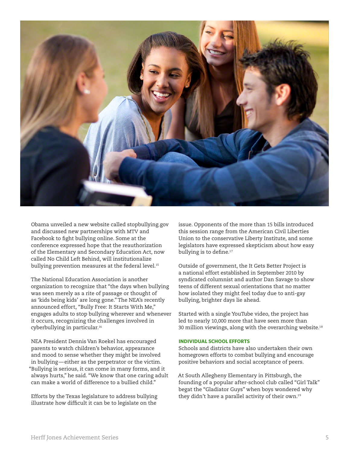

Obama unveiled a new website called stopbullying.gov and discussed new partnerships with MTV and Facebook to fight bullying online. Some at the conference expressed hope that the reauthorization of the Elementary and Secondary Education Act, now called No Child Left Behind, will institutionalize bullying prevention measures at the federal level.<sup>15</sup>

The National Education Association is another organization to recognize that "the days when bullying was seen merely as a rite of passage or thought of as 'kids being kids' are long gone." The NEA's recently announced effort, "Bully Free: It Starts With Me," engages adults to stop bullying wherever and whenever it occurs, recognizing the challenges involved in cyberbullying in particular.<sup>16</sup>

NEA President Dennis Van Roekel has encouraged parents to watch children's behavior, appearance and mood to sense whether they might be involved in bullying—either as the perpetrator or the victim. "Bullying is serious, it can come in many forms, and it always hurts," he said. "We know that one caring adult can make a world of difference to a bullied child."

Efforts by the Texas legislature to address bullying illustrate how difficult it can be to legislate on the

issue. Opponents of the more than 15 bills introduced this session range from the American Civil Liberties Union to the conservative Liberty Institute, and some legislators have expressed skepticism about how easy bullying is to define.<sup>17</sup>

Outside of government, the It Gets Better Project is a national effort established in September 2010 by syndicated columnist and author Dan Savage to show teens of different sexual orientations that no matter how isolated they might feel today due to anti-gay bullying, brighter days lie ahead.

Started with a single YouTube video, the project has led to nearly 10,000 more that have seen more than 30 million viewings, along with the overarching website.<sup>18</sup>

## **INDIVIDUAL SCHOOL EFFORTS**

Schools and districts have also undertaken their own homegrown efforts to combat bullying and encourage positive behaviors and social acceptance of peers.

At South Allegheny Elementary in Pittsburgh, the founding of a popular after-school club called "Girl Talk" begat the "Gladiator Guys" when boys wondered why they didn't have a parallel activity of their own.<sup>19</sup>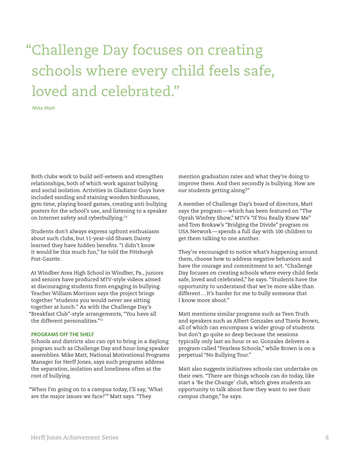# "Challenge Day focuses on creating schools where every child feels safe, loved and celebrated."

**Mike Matt**

Both clubs work to build self-esteem and strengthen relationships, both of which work against bullying and social isolation. Activities in Gladiator Guys have included sanding and staining wooden birdhouses, gym time, playing board games, creating anti-bullying posters for the school's use, and listening to a speaker on Internet safety and cyberbullying.<sup>20</sup>

Students don't always express upfront enthusiasm about such clubs, but 11-year-old Shawn Dainty learned they have hidden benefits. "I didn't know it would be this much fun," he told the *Pittsburgh Post-Gazette*.

At Windber Area High School in Windber, Pa., juniors and seniors have produced MTV-style videos aimed at discouraging students from engaging in bullying. Teacher William Morrison says the project brings together "students you would never see sitting together at lunch." As with the Challenge Day's "Breakfast Club"-style arrangements, "You have all the different personalities."<sup>21</sup>

### **PROGRAMS OFF THE SHELF**

Schools and districts also can opt to bring in a daylong program such as Challenge Day and hour-long speaker assemblies. Mike Matt, National Motivational Programs Manager for Herff Jones, says such programs address the separation, isolation and loneliness often at the root of bullying.

"When I'm going on to a campus today, I'll say, 'What are the major issues we face?'" Matt says. "They

mention graduation rates and what they're doing to improve them. And then secondly is bullying. How are our students getting along?"

A member of Challenge Day's board of directors, Matt says the program—which has been featured on "The Oprah Winfrey Show," MTV's "If You Really Knew Me" and Tom Brokaw's "Bridging the Divide" program on USA Network—spends a full day with 100 children to get them talking to one another.

They're encouraged to notice what's happening around them, choose how to address negative behaviors and have the courage and commitment to act. "Challenge Day focuses on creating schools where every child feels safe, loved and celebrated," he says. "Students have the opportunity to understand that we're more alike than different…It's harder for me to bully someone that I know more about."

Matt mentions similar programs such as Teen Truth and speakers such as Albert Gonzales and Travis Brown, all of which can encompass a wider group of students but don't go quite so deep because the sessions typically only last an hour or so. Gonzales delivers a program called "Fearless Schools," while Brown is on a perpetual "No Bullying Tour."

Matt also suggests initiatives schools can undertake on their own. "There are things schools can do today, like start a 'Be the Change' club, which gives students an opportunity to talk about how they want to see their campus change," he says.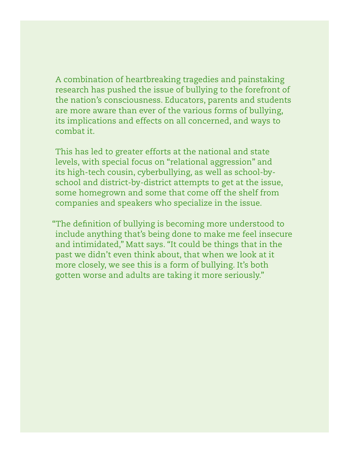A combination of heartbreaking tragedies and painstaking research has pushed the issue of bullying to the forefront of the nation's consciousness. Educators, parents and students are more aware than ever of the various forms of bullying, its implications and effects on all concerned, and ways to combat it.

This has led to greater efforts at the national and state levels, with special focus on "relational aggression" and its high-tech cousin, cyberbullying, as well as school-byschool and district-by-district attempts to get at the issue, some homegrown and some that come off the shelf from companies and speakers who specialize in the issue.

 "The definition of bullying is becoming more understood to include anything that's being done to make me feel insecure and intimidated," Matt says. "It could be things that in the past we didn't even think about, that when we look at it more closely, we see this is a form of bullying. It's both gotten worse and adults are taking it more seriously."